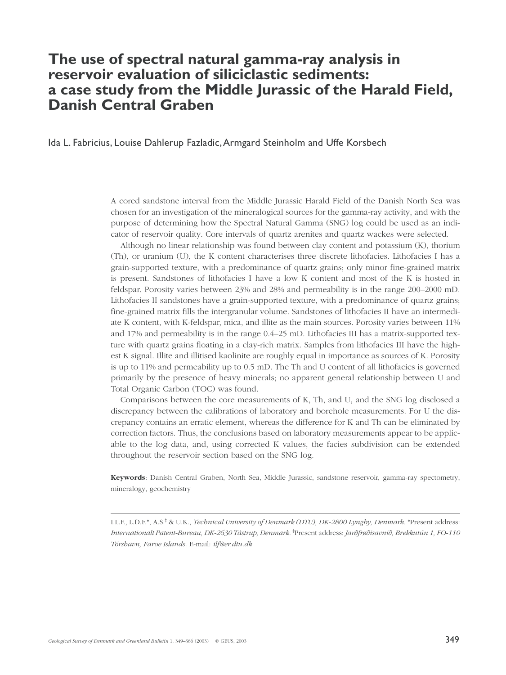# **The use of spectral natural gamma-ray analysis in reservoir evaluation of siliciclastic sediments: a case study from the Middle Jurassic of the Harald Field, Danish Central Graben**

Ida L. Fabricius, Louise Dahlerup Fazladic,Armgard Steinholm and Uffe Korsbech

A cored sandstone interval from the Middle Jurassic Harald Field of the Danish North Sea was chosen for an investigation of the mineralogical sources for the gamma-ray activity, and with the purpose of determining how the Spectral Natural Gamma (SNG) log could be used as an indicator of reservoir quality. Core intervals of quartz arenites and quartz wackes were selected.

Although no linear relationship was found between clay content and potassium (K), thorium (Th), or uranium (U), the K content characterises three discrete lithofacies. Lithofacies I has a grain-supported texture, with a predominance of quartz grains; only minor fine-grained matrix is present. Sandstones of lithofacies I have a low K content and most of the K is hosted in feldspar. Porosity varies between 23% and 28% and permeability is in the range 200–2000 mD. Lithofacies II sandstones have a grain-supported texture, with a predominance of quartz grains; fine-grained matrix fills the intergranular volume. Sandstones of lithofacies II have an intermediate K content, with K-feldspar, mica, and illite as the main sources. Porosity varies between 11% and 17% and permeability is in the range 0.4–25 mD. Lithofacies III has a matrix-supported texture with quartz grains floating in a clay-rich matrix. Samples from lithofacies III have the highest K signal. Illite and illitised kaolinite are roughly equal in importance as sources of K. Porosity is up to 11% and permeability up to 0.5 mD. The Th and U content of all lithofacies is governed primarily by the presence of heavy minerals; no apparent general relationship between U and Total Organic Carbon (TOC) was found.

Comparisons between the core measurements of K, Th, and U, and the SNG log disclosed a discrepancy between the calibrations of laboratory and borehole measurements. For U the discrepancy contains an erratic element, whereas the difference for K and Th can be eliminated by correction factors. Thus, the conclusions based on laboratory measurements appear to be applicable to the log data, and, using corrected K values, the facies subdivision can be extended throughout the reservoir section based on the SNG log.

**Keywords**: Danish Central Graben, North Sea, Middle Jurassic, sandstone reservoir, gamma-ray spectometry, mineralogy, geochemistry

I.L.F., L.D.F.\*, A.S.‡ & U.K., *Technical University of Denmark (DTU), DK-2800 Lyngby, Denmark.* \*Present address: *Internationalt Patent-Bureau, DK-2630 Tåstrup, Denmark*. ‡ Present address: *Jar›frø›isavni›, Brekkutún 1, FO-110 Tórshavn, Faroe Islands.* E-mail: *ilf@er.dtu.dk*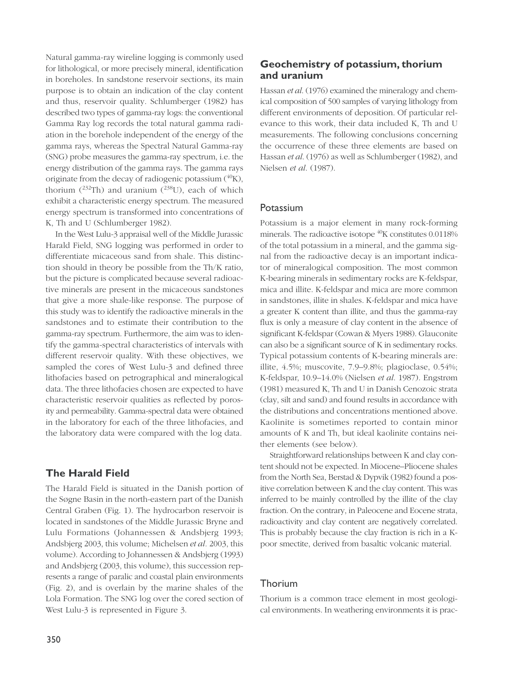Natural gamma-ray wireline logging is commonly used for lithological, or more precisely mineral, identification in boreholes. In sandstone reservoir sections, its main purpose is to obtain an indication of the clay content and thus, reservoir quality. Schlumberger (1982) has described two types of gamma-ray logs: the conventional Gamma Ray log records the total natural gamma radiation in the borehole independent of the energy of the gamma rays, whereas the Spectral Natural Gamma-ray (SNG) probe measures the gamma-ray spectrum, i.e. the energy distribution of the gamma rays. The gamma rays originate from the decay of radiogenic potassium  $(^{40}K)$ , thorium  $(^{232}Th)$  and uranium  $(^{238}U)$ , each of which exhibit a characteristic energy spectrum. The measured energy spectrum is transformed into concentrations of K, Th and U (Schlumberger 1982).

In the West Lulu-3 appraisal well of the Middle Jurassic Harald Field, SNG logging was performed in order to differentiate micaceous sand from shale. This distinction should in theory be possible from the Th/K ratio, but the picture is complicated because several radioactive minerals are present in the micaceous sandstones that give a more shale-like response. The purpose of this study was to identify the radioactive minerals in the sandstones and to estimate their contribution to the gamma-ray spectrum. Furthermore, the aim was to identify the gamma-spectral characteristics of intervals with different reservoir quality. With these objectives, we sampled the cores of West Lulu-3 and defined three lithofacies based on petrographical and mineralogical data. The three lithofacies chosen are expected to have characteristic reservoir qualities as reflected by porosity and permeability. Gamma-spectral data were obtained in the laboratory for each of the three lithofacies, and the laboratory data were compared with the log data.

### **The Harald Field**

The Harald Field is situated in the Danish portion of the Søgne Basin in the north-eastern part of the Danish Central Graben (Fig. 1). The hydrocarbon reservoir is located in sandstones of the Middle Jurassic Bryne and Lulu Formations (Johannessen & Andsbjerg 1993; Andsbjerg 2003, this volume; Michelsen *et al.* 2003, this volume). According to Johannessen & Andsbjerg (1993) and Andsbjerg (2003, this volume), this succession represents a range of paralic and coastal plain environments (Fig. 2), and is overlain by the marine shales of the Lola Formation. The SNG log over the cored section of West Lulu-3 is represented in Figure 3.

## **Geochemistry of potassium, thorium and uranium**

Hassan *et al*. (1976) examined the mineralogy and chemical composition of 500 samples of varying lithology from different environments of deposition. Of particular relevance to this work, their data included K, Th and U measurements. The following conclusions concerning the occurrence of these three elements are based on Hassan *et al*. (1976) as well as Schlumberger (1982), and Nielsen *et al*. (1987).

### Potassium

Potassium is a major element in many rock-forming minerals. The radioactive isotope <sup>40</sup>K constitutes 0.0118% of the total potassium in a mineral, and the gamma signal from the radioactive decay is an important indicator of mineralogical composition. The most common K-bearing minerals in sedimentary rocks are K-feldspar, mica and illite. K-feldspar and mica are more common in sandstones, illite in shales. K-feldspar and mica have a greater K content than illite, and thus the gamma-ray flux is only a measure of clay content in the absence of significant K-feldspar (Cowan & Myers 1988). Glauconite can also be a significant source of K in sedimentary rocks. Typical potassium contents of K-bearing minerals are: illite, 4.5%; muscovite, 7.9–9.8%; plagioclase, 0.54%; K-feldspar, 10.9–14.0% (Nielsen *et al*. 1987). Engstrøm (1981) measured K, Th and U in Danish Cenozoic strata (clay, silt and sand) and found results in accordance with the distributions and concentrations mentioned above. Kaolinite is sometimes reported to contain minor amounts of K and Th, but ideal kaolinite contains neither elements (see below).

Straightforward relationships between K and clay content should not be expected. In Miocene–Pliocene shales from the North Sea, Berstad & Dypvik (1982) found a positive correlation between K and the clay content. This was inferred to be mainly controlled by the illite of the clay fraction. On the contrary, in Paleocene and Eocene strata, radioactivity and clay content are negatively correlated. This is probably because the clay fraction is rich in a Kpoor smectite, derived from basaltic volcanic material.

### Thorium

Thorium is a common trace element in most geological environments. In weathering environments it is prac-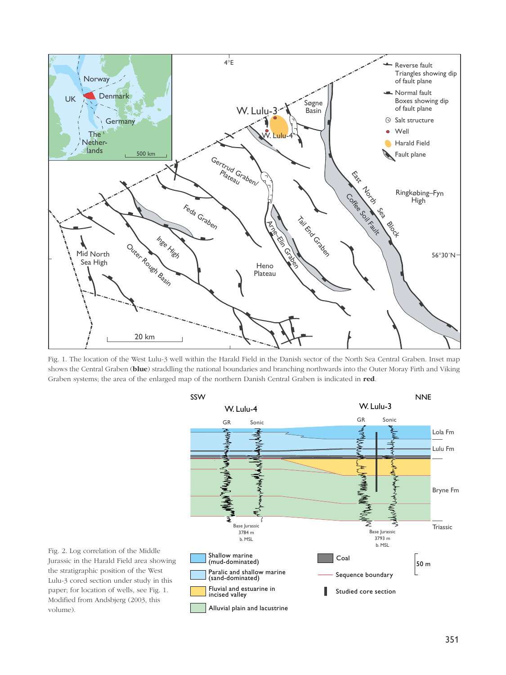

Fig. 1. The location of the West Lulu-3 well within the Harald Field in the Danish sector of the North Sea Central Graben. Inset map shows the Central Graben (**blue**) straddling the national boundaries and branching northwards into the Outer Moray Firth and Viking Graben systems; the area of the enlarged map of the northern Danish Central Graben is indicated in **red**.



Fig. 2. Log correlation of the Middle Jurassic in the Harald Field area showing the stratigraphic position of the West Lulu-3 cored section under study in this paper; for location of wells, see Fig. 1. Modified from Andsbjerg (2003, this volume).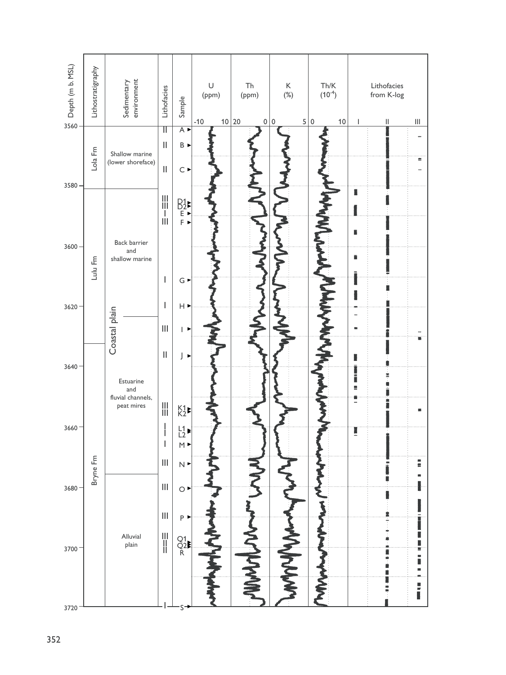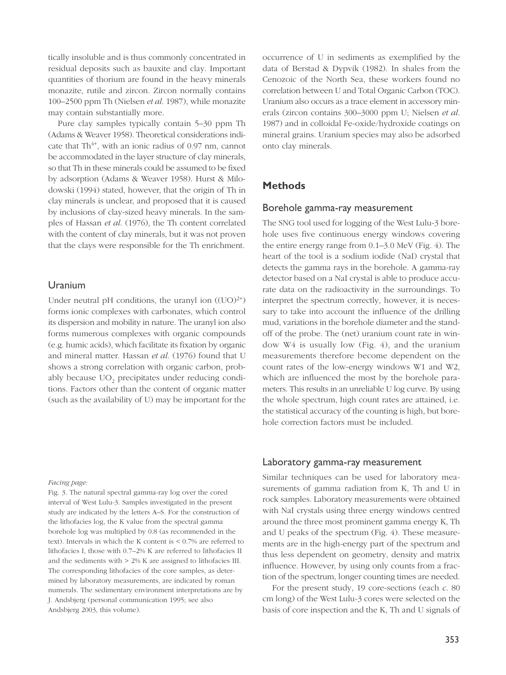tically insoluble and is thus commonly concentrated in residual deposits such as bauxite and clay. Important quantities of thorium are found in the heavy minerals monazite, rutile and zircon. Zircon normally contains 100–2500 ppm Th (Nielsen *et al*. 1987), while monazite may contain substantially more.

Pure clay samples typically contain 5–30 ppm Th (Adams & Weaver 1958). Theoretical considerations indicate that  $Th^{4+}$ , with an ionic radius of 0.97 nm, cannot be accommodated in the layer structure of clay minerals, so that Th in these minerals could be assumed to be fixed by adsorption (Adams & Weaver 1958). Hurst & Milodowski (1994) stated, however, that the origin of Th in clay minerals is unclear, and proposed that it is caused by inclusions of clay-sized heavy minerals. In the samples of Hassan *et al*. (1976), the Th content correlated with the content of clay minerals, but it was not proven that the clays were responsible for the Th enrichment.

#### Uranium

Under neutral pH conditions, the uranyl ion  $((UO)^{2+})$ forms ionic complexes with carbonates, which control its dispersion and mobility in nature. The uranyl ion also forms numerous complexes with organic compounds (e.g. humic acids), which facilitate its fixation by organic and mineral matter. Hassan *et al*. (1976) found that U shows a strong correlation with organic carbon, probably because UO<sub>2</sub> precipitates under reducing conditions. Factors other than the content of organic matter (such as the availability of U) may be important for the

#### *Facing page:*

Fig. 3. The natural spectral gamma-ray log over the cored interval of West Lulu-3. Samples investigated in the present study are indicated by the letters A–S. For the construction of the lithofacies log, the K value from the spectral gamma borehole log was multiplied by 0.8 (as recommended in the text). Intervals in which the K content is < 0.7% are referred to lithofacies I, those with 0.7–2% K are referred to lithofacies II and the sediments with > 2% K are assigned to lithofacies III. The corresponding lithofacies of the core samples, as determined by laboratory measurements, are indicated by roman numerals. The sedimentary environment interpretations are by J. Andsbjerg (personal communication 1995; see also Andsbjerg 2003, this volume).

occurrence of U in sediments as exemplified by the data of Berstad & Dypvik (1982). In shales from the Cenozoic of the North Sea, these workers found no correlation between U and Total Organic Carbon (TOC). Uranium also occurs as a trace element in accessory minerals (zircon contains 300–3000 ppm U; Nielsen *et al*. 1987) and in colloidal Fe-oxide/hydroxide coatings on mineral grains. Uranium species may also be adsorbed onto clay minerals.

#### **Methods**

#### Borehole gamma-ray measurement

The SNG tool used for logging of the West Lulu-3 borehole uses five continuous energy windows covering the entire energy range from 0.1–3.0 MeV (Fig. 4). The heart of the tool is a sodium iodide (NaI) crystal that detects the gamma rays in the borehole. A gamma-ray detector based on a NaI crystal is able to produce accurate data on the radioactivity in the surroundings. To interpret the spectrum correctly, however, it is necessary to take into account the influence of the drilling mud, variations in the borehole diameter and the standoff of the probe. The (net) uranium count rate in window W4 is usually low (Fig. 4), and the uranium measurements therefore become dependent on the count rates of the low-energy windows W1 and W2, which are influenced the most by the borehole parameters. This results in an unreliable U log curve. By using the whole spectrum, high count rates are attained, i.e. the statistical accuracy of the counting is high, but borehole correction factors must be included.

#### Laboratory gamma-ray measurement

Similar techniques can be used for laboratory measurements of gamma radiation from K, Th and U in rock samples. Laboratory measurements were obtained with NaI crystals using three energy windows centred around the three most prominent gamma energy K, Th and U peaks of the spectrum (Fig. 4). These measurements are in the high-energy part of the spectrum and thus less dependent on geometry, density and matrix influence. However, by using only counts from a fraction of the spectrum, longer counting times are needed.

For the present study, 19 core-sections (each *c*. 80 cm long) of the West Lulu-3 cores were selected on the basis of core inspection and the K, Th and U signals of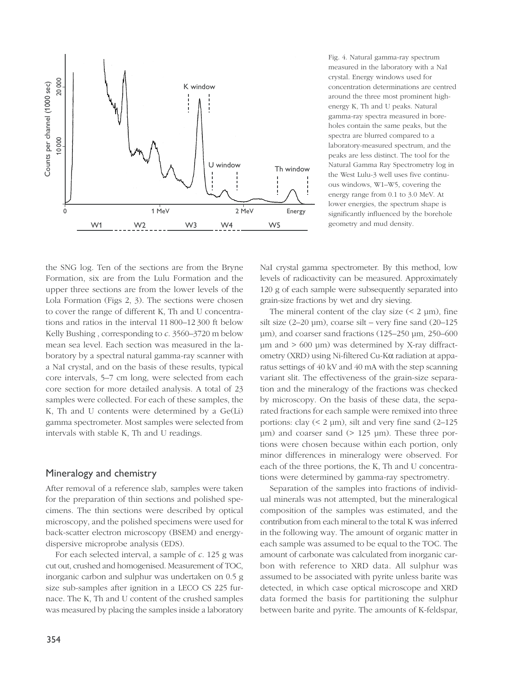

the SNG log. Ten of the sections are from the Bryne Formation, six are from the Lulu Formation and the upper three sections are from the lower levels of the Lola Formation (Figs 2, 3). The sections were chosen to cover the range of different K, Th and U concentrations and ratios in the interval 11 800–12 300 ft below Kelly Bushing , corresponding to *c*. 3560–3720 m below mean sea level. Each section was measured in the laboratory by a spectral natural gamma-ray scanner with a NaI crystal, and on the basis of these results, typical core intervals, 5–7 cm long, were selected from each core section for more detailed analysis. A total of 23 samples were collected. For each of these samples, the K, Th and U contents were determined by a Ge(Li) gamma spectrometer. Most samples were selected from intervals with stable K, Th and U readings.

#### Mineralogy and chemistry

After removal of a reference slab, samples were taken for the preparation of thin sections and polished specimens. The thin sections were described by optical microscopy, and the polished specimens were used for back-scatter electron microscopy (BSEM) and energydispersive microprobe analysis (EDS).

For each selected interval, a sample of *c*. 125 g was cut out, crushed and homogenised. Measurement of TOC, inorganic carbon and sulphur was undertaken on 0.5 g size sub-samples after ignition in a LECO CS 225 furnace. The K, Th and U content of the crushed samples was measured by placing the samples inside a laboratory Fig. 4. Natural gamma-ray spectrum measured in the laboratory with a NaI crystal. Energy windows used for concentration determinations are centred around the three most prominent highenergy K, Th and U peaks. Natural gamma-ray spectra measured in boreholes contain the same peaks, but the spectra are blurred compared to a laboratory-measured spectrum, and the peaks are less distinct. The tool for the Natural Gamma Ray Spectrometry log in the West Lulu-3 well uses five continuous windows, W1–W5, covering the energy range from 0.1 to 3.0 MeV. At lower energies, the spectrum shape is significantly influenced by the borehole geometry and mud density.

NaI crystal gamma spectrometer. By this method, low levels of radioactivity can be measured. Approximately 120 g of each sample were subsequently separated into grain-size fractions by wet and dry sieving.

The mineral content of the clay size  $(< 2 \mu m)$ , fine silt size  $(2-20 \text{ }\mu\text{m})$ , coarse silt – very fine sand  $(20-125 \text{ })$ µm), and coarser sand fractions (125–250 µm, 250–600 µm and > 600 µm) was determined by X-ray diffractometry (XRD) using Ni-filtered Cu-Kα radiation at apparatus settings of 40 kV and 40 mA with the step scanning variant slit. The effectiveness of the grain-size separation and the mineralogy of the fractions was checked by microscopy. On the basis of these data, the separated fractions for each sample were remixed into three portions: clay  $(< 2 \mu m)$ , silt and very fine sand  $(2-125$ µm) and coarser sand (> 125 µm). These three portions were chosen because within each portion, only minor differences in mineralogy were observed. For each of the three portions, the K, Th and U concentrations were determined by gamma-ray spectrometry.

Separation of the samples into fractions of individual minerals was not attempted, but the mineralogical composition of the samples was estimated, and the contribution from each mineral to the total K was inferred in the following way. The amount of organic matter in each sample was assumed to be equal to the TOC. The amount of carbonate was calculated from inorganic carbon with reference to XRD data. All sulphur was assumed to be associated with pyrite unless barite was detected, in which case optical microscope and XRD data formed the basis for partitioning the sulphur between barite and pyrite. The amounts of K-feldspar,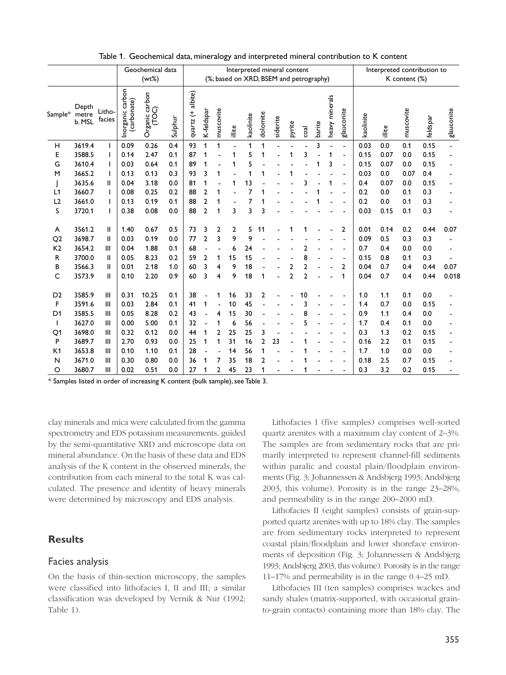|                     |                          |                  |                                         | Table 1. Geochemical data, mineralogy and interpreted mineral contribution to K content |            |                        |                                   |                                         |          |           |                |                                         |              |                     |        |                   |                                  |              |                             |               |             |                        |
|---------------------|--------------------------|------------------|-----------------------------------------|-----------------------------------------------------------------------------------------|------------|------------------------|-----------------------------------|-----------------------------------------|----------|-----------|----------------|-----------------------------------------|--------------|---------------------|--------|-------------------|----------------------------------|--------------|-----------------------------|---------------|-------------|------------------------|
|                     |                          |                  |                                         | Geochemical data                                                                        |            |                        |                                   |                                         |          |           |                | Interpreted mineral content             |              |                     |        |                   |                                  |              | Interpreted contribution to |               |             |                        |
|                     |                          |                  |                                         | (wt%)                                                                                   |            |                        |                                   |                                         |          |           |                | (%; based on XRD, BSEM and petrography) |              |                     |        |                   |                                  |              |                             | K content (%) |             |                        |
| Sample*             | Depth<br>metre<br>b. MSL | Litho-<br>facies | carbon<br>Inorganic carb<br>(carbonate) | Organic carbon<br>(TOC)                                                                 | Sulphur    | albite)<br>t<br>quartz | K-feldspar                        | muscovite                               | illite   | kaolinite | dolomite       | siderite                                | pyrite       | coal                | barite | minerals<br>heavy | glauconite                       | kaolinite    | illite                      | muscovite     | feldspar    | glauconite             |
| н                   | 3619.4                   |                  | 0.09                                    | 0.26                                                                                    | 0.4        | 93                     | 1                                 |                                         |          |           |                |                                         |              |                     | ٦      |                   |                                  | 0.03         | 0.0                         | 0.1           | 0.15        |                        |
| Е                   | 3588.5                   |                  | 0.14                                    | 2.47                                                                                    | 0.1        | 87                     | -1                                |                                         |          |           |                |                                         |              |                     |        |                   |                                  | 0.15         | 0.07                        | 0.0           | 0.15        |                        |
| G<br>м              | 3610.4<br>3665.2         |                  | 0.03<br>0.13                            | 0.64<br>0.13                                                                            | 0.1<br>0.3 | 89<br>93               | 3                                 |                                         |          |           |                |                                         |              |                     |        |                   |                                  | 0.15<br>0.03 | 0.07<br>0.0                 | 0.0<br>0.07   | 0.15<br>0.4 |                        |
|                     | 3635.6                   | Ш                | 0.04                                    | 3.18                                                                                    | 0.0        | 81                     |                                   |                                         |          |           |                |                                         |              |                     |        |                   |                                  | 0.4          | 0.07                        | 0.0           | 0.15        |                        |
| L1                  | 3660.7                   |                  | 0.08                                    | 0.25                                                                                    | 0.2        | 88                     |                                   |                                         |          |           |                |                                         |              |                     |        |                   |                                  | 0.2          | 0.0                         | 0.1           | 0.3         |                        |
| L <sub>2</sub><br>S | 3661.0<br>3720.1         |                  | 0.13<br>0.38                            | 0.19<br>0.08                                                                            | 0.1<br>0.0 | 88<br>88               | 2<br>$\overline{2}$               | $\overline{1}$                          | 3        | 3         | 3              |                                         |              |                     |        |                   |                                  | 0.2<br>0.03  | 0.0<br>0.15                 | 0.1<br>0.1    | 0.3<br>0.3  |                        |
| A                   | 3561.2                   | Ш                | 1.40                                    | 0.67                                                                                    | 0.5        | 73                     | 3                                 | $\overline{2}$                          | 2        | 5         | 11             |                                         | 1            |                     |        |                   | 2                                | 0.01         | 0.14                        | 0.2           | 0.44        | 0.07                   |
| Q <sub>2</sub>      | 3698.7                   | Ш                | 0.03                                    | 0.19                                                                                    | 0.0        | 77                     | $\overline{2}$                    | 3                                       | 9        | 9         |                |                                         |              |                     |        |                   |                                  | 0.09         | 0.5                         | 0.3           | 0.3         |                        |
| K <sub>2</sub>      | 3654.2                   | Ш                | 0.04                                    | 1.88                                                                                    | 0.1        | 68                     | $\blacksquare$                    | $\overline{\phantom{a}}$                | 6        | 24        |                |                                         |              | 2                   |        |                   |                                  | 0.7          | 0.4                         | 0.0           | 0.0         | $\overline{a}$         |
| R<br>В              | 3700.0<br>3566.3         | Ш<br>Ш           | 0.05<br>0.01                            | 8.23<br>2.18                                                                            | 0.2<br>1.0 | 59<br>60               | $\overline{2}$<br>3               | 1<br>4                                  | 15<br>9  | 15<br>18  |                |                                         | 2            | 8<br>$\overline{2}$ |        |                   | $\blacksquare$<br>$\overline{2}$ | 0.15<br>0.04 | 0.8<br>0.7                  | 0.1<br>0.4    | 0.3<br>0.44 | $\blacksquare$<br>0.07 |
| C                   | 3573.9                   | Ш                | 0.10                                    | 2.20                                                                                    | 0.9        | 60                     | 3                                 | 4                                       | 9        | 18        | 1              |                                         | $\mathbf{2}$ | $\overline{2}$      |        |                   | 1                                | 0.04         | 0.7                         | 0.4           | 0.44        | 0.018                  |
| D <sub>2</sub>      | 3585.9                   | Ш                | 0.31                                    | 10.25                                                                                   | 0.1        | 38                     | $\blacksquare$                    | 1                                       | 16       | 33        | $\overline{2}$ |                                         |              | 10                  |        |                   |                                  | 1.0          | 1.1                         | 0.1           | 0.0         |                        |
| F                   | 3591.6                   | Ш                | 0.03                                    | 2.84                                                                                    | 0.1        | 41                     | $\mathbf{1}$                      |                                         | 10       | 45        |                |                                         |              |                     |        |                   |                                  | 1.4          | 0.7                         | 0.0           | 0.15        |                        |
| D1<br>$\mathbf{I}$  | 3585.5<br>3627.0         | Ш<br>Ш           | 0.05<br>0.00                            | 8.28<br>5.00                                                                            | 0.2<br>0.1 | 43<br>32               | $\blacksquare$<br>$\sim$ $-$      | $\overline{\mathbf{4}}$<br>$\mathbf{1}$ | 15<br>6  | 30<br>56  |                |                                         |              | 8<br>5              |        |                   |                                  | 0.9<br>1.7   | $1.1$<br>0.4                | 0.4<br>0.1    | 0.0<br>0.0  |                        |
|                     | 3698.0                   | Ш                | 0.32                                    | 0.12                                                                                    | 0.0        | 44                     | $\mathbf 1$                       | $\overline{2}$                          | 25       | 25        | 3              |                                         |              |                     |        |                   |                                  | 0.3          | 1.3                         | 0.2           | 0.15        |                        |
| Q1                  |                          |                  | 2.70                                    | 0.93                                                                                    | 0.0        | 25 <sub>1</sub>        |                                   | 1                                       | 31       | $16$      | $\mathbf{2}$   | 23                                      |              |                     |        |                   |                                  | 0.16         | 2.2                         | 0.1           | 0.15        |                        |
| P                   | 3689.7                   | Ш                |                                         |                                                                                         |            |                        |                                   |                                         |          | 56        | $\mathbf{1}$   |                                         |              |                     |        |                   |                                  | 1.7          | 1.0                         | 0.0           | 0.0         |                        |
| K1<br>N             | 3653.8<br>3671.0         | Ш<br>Ш           | 0.10<br>0.30                            | 1.10<br>0.80                                                                            | 0.1<br>0.0 | 28<br>36               | $\sim$<br>$\overline{\mathbf{1}}$ | $\blacksquare$<br>$\overline{7}$        | 14<br>35 | 18        | $\overline{2}$ |                                         |              | 1                   |        |                   |                                  | 0.18         | 2.5                         | 0.7           | 0.15        |                        |

Table 1. Geochemical data, mineralogy and interpreted mineral contribution to K content

clay minerals and mica were calculated from the gamma spectrometry and EDS potassium measurements, guided by the semi-quantitative XRD and microscope data on mineral abundance. On the basis of these data and EDS analysis of the K content in the observed minerals, the contribution from each mineral to the total K was calculated. The presence and identity of heavy minerals were determined by microscopy and EDS analysis.

### **Results**

#### Facies analysis

On the basis of thin-section microscopy, the samples were classified into lithofacies I, II and III; a similar classification was developed by Vernik & Nur (1992; Table 1).

Lithofacies I (five samples) comprises well-sorted quartz arenites with a maximum clay content of 2–3%. The samples are from sedimentary rocks that are primarily interpreted to represent channel-fill sediments within paralic and coastal plain/floodplain environments (Fig. 3; Johannessen & Andsbjerg 1993; Andsbjerg 2003, this volume). Porosity is in the range 23–28%, and permeability is in the range 200–2000 mD.

Lithofacies II (eight samples) consists of grain-supported quartz arenites with up to 18% clay. The samples are from sedimentary rocks interpreted to represent coastal plain/floodplain and lower shoreface environments of deposition (Fig. 3; Johannessen & Andsbjerg 1993; Andsbjerg 2003, this volume). Porosity is in the range 11–17% and permeability is in the range 0.4–25 mD.

Lithofacies III (ten samples) comprises wackes and sandy shales (matrix-supported, with occasional grainto-grain contacts) containing more than 18% clay. The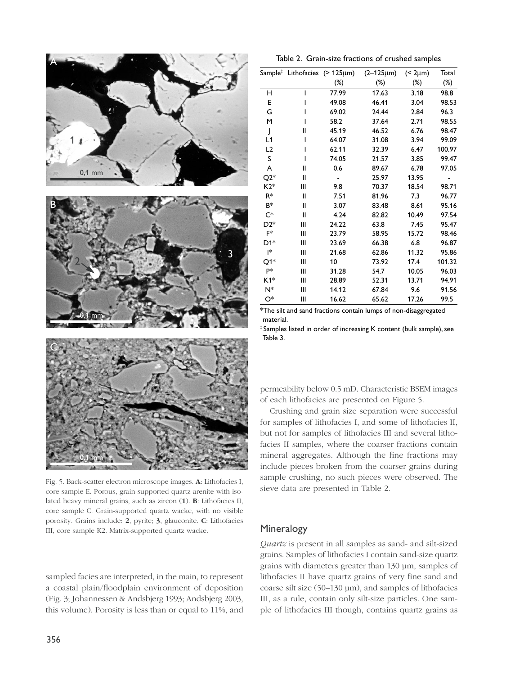





Fig. 5. Back-scatter electron microscope images. **A**: Lithofacies I, core sample E. Porous, grain-supported quartz arenite with isolated heavy mineral grains, such as zircon (**1**). **B**: Lithofacies II, core sample C. Grain-supported quartz wacke, with no visible porosity. Grains include: **2**, pyrite; **3**, glauconite. **C**: Lithofacies III, core sample K2. Matrix-supported quartz wacke.

sampled facies are interpreted, in the main, to represent a coastal plain/floodplain environment of deposition (Fig. 3; Johannessen & Andsbjerg 1993; Andsbjerg 2003, this volume). Porosity is less than or equal to 11%, and

|                         |                                                    |                          | Table 2. Grain-size fractions of crushed samples |              |                |
|-------------------------|----------------------------------------------------|--------------------------|--------------------------------------------------|--------------|----------------|
|                         |                                                    |                          |                                                  |              |                |
|                         | Sample ${}^{\ddagger}$ Lithofacies (> 125 $\mu$ m) |                          | $(2 - 125 \mu m)$                                | $($ 2 $µm)$  | Total          |
|                         |                                                    | $(\%)$                   | $(\%)$                                           | $(\%)$       | $(\%)$         |
| н                       | I                                                  | 77.99                    | 17.63                                            | 3.18         | 98.8           |
| Е                       | I                                                  | 49.08                    | 46.41                                            | 3.04         | 98.53          |
| G                       | ı                                                  | 69.02                    | 24.44                                            | 2.84         | 96.3           |
| м                       | ı                                                  | 58.2                     | 37.64                                            | 2.71         | 98.55          |
| $\mathbf{I}$            | Ш                                                  | 45.19                    | 46.52                                            | 6.76         | 98.47          |
| L1                      | I                                                  | 64.07                    | 31.08                                            | 3.94         | 99.09          |
| L <sub>2</sub>          | ı                                                  | 62.11                    | 32.39                                            | 6.47         | 100.97         |
| s                       | I                                                  | 74.05                    | 21.57                                            | 3.85         | 99.47          |
| A                       | Ш                                                  | 0.6                      | 89.67                                            | 6.78         | 97.05          |
| Q2*                     | Ш                                                  | $\overline{\phantom{0}}$ | 25.97                                            | 13.95        |                |
| K2*                     | Ш                                                  | 9.8                      | 70.37                                            | 18.54        | 98.71          |
| R*                      | Ш                                                  | 7.51                     | 81.96                                            | 7.3          | 96.77          |
| B*                      | Ш                                                  | 3.07                     | 83.48                                            | 8.61         | 95.16          |
| $\mathsf{C}^*$<br>$D2*$ | Ш                                                  | 4.24                     | 82.82                                            | 10.49        | 97.54          |
| F*                      | Ш<br>Ш                                             | 24.22                    | 63.8                                             | 7.45         | 95.47          |
| D1*                     | Ш                                                  | 23.79<br>23.69           | 58.95<br>66.38                                   | 15.72<br>6.8 | 98.46<br>96.87 |
| l*                      | Ш                                                  | 21.68                    | 62.86                                            | 11.32        | 95.86          |
| Q1*                     | Ш                                                  | 10                       | 73.92                                            | 17.4         | 101.32         |
| P*                      | Ш                                                  | 31.28                    | 54.7                                             | 10.05        | 96.03          |
| K1*                     | Ш                                                  | 28.89                    | 52.31                                            | 13.71        | 94.91          |
| N*                      | Ш                                                  | 14.12                    | 67.84                                            | 9.6          | 91.56          |
|                         | Ш                                                  | 16.62                    | 65.62                                            | 17.26        | 99.5           |
| O*                      |                                                    |                          |                                                  |              |                |

permeability below 0.5 mD. Characteristic BSEM images of each lithofacies are presented on Figure 5.

Crushing and grain size separation were successful for samples of lithofacies I, and some of lithofacies II, but not for samples of lithofacies III and several lithofacies II samples, where the coarser fractions contain mineral aggregates. Although the fine fractions may include pieces broken from the coarser grains during sample crushing, no such pieces were observed. The sieve data are presented in Table 2.

### Mineralogy

*Quartz* is present in all samples as sand- and silt-sized grains. Samples of lithofacies I contain sand-size quartz grains with diameters greater than 130 µm, samples of lithofacies II have quartz grains of very fine sand and coarse silt size (50–130 µm), and samples of lithofacies III, as a rule, contain only silt-size particles. One sample of lithofacies III though, contains quartz grains as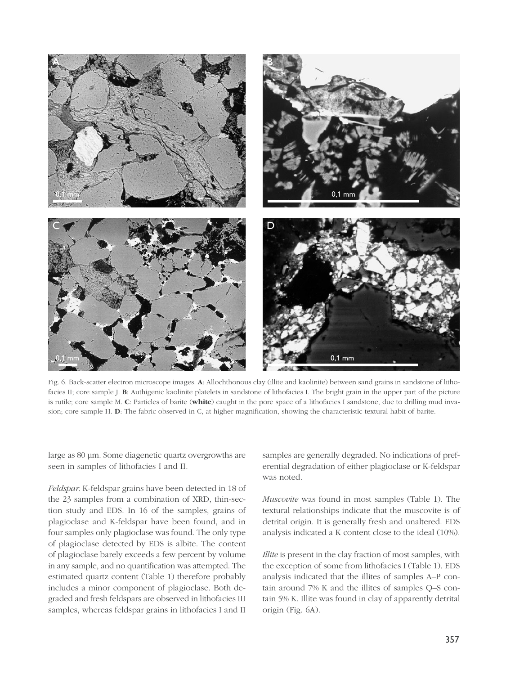

Fig. 6. Back-scatter electron microscope images. **A**: Allochthonous clay (illite and kaolinite) between sand grains in sandstone of lithofacies II; core sample J. **B**: Authigenic kaolinite platelets in sandstone of lithofacies I. The bright grain in the upper part of the picture is rutile; core sample M. **C**: Particles of barite (**white**) caught in the pore space of a lithofacies I sandstone, due to drilling mud invasion; core sample H. **D**: The fabric observed in C, at higher magnification, showing the characteristic textural habit of barite.

large as 80 µm. Some diagenetic quartz overgrowths are seen in samples of lithofacies I and II.

*Feldspar.* K-feldspar grains have been detected in 18 of the 23 samples from a combination of XRD, thin-section study and EDS. In 16 of the samples, grains of plagioclase and K-feldspar have been found, and in four samples only plagioclase was found. The only type of plagioclase detected by EDS is albite. The content of plagioclase barely exceeds a few percent by volume in any sample, and no quantification was attempted. The estimated quartz content (Table 1) therefore probably includes a minor component of plagioclase. Both degraded and fresh feldspars are observed in lithofacies III samples, whereas feldspar grains in lithofacies I and II

samples are generally degraded. No indications of preferential degradation of either plagioclase or K-feldspar was noted.

*Muscovite* was found in most samples (Table 1). The textural relationships indicate that the muscovite is of detrital origin. It is generally fresh and unaltered. EDS analysis indicated a K content close to the ideal (10%).

*Illite* is present in the clay fraction of most samples, with the exception of some from lithofacies I (Table 1). EDS analysis indicated that the illites of samples A–P contain around 7% K and the illites of samples Q–S contain 5% K. Illite was found in clay of apparently detrital origin (Fig. 6A).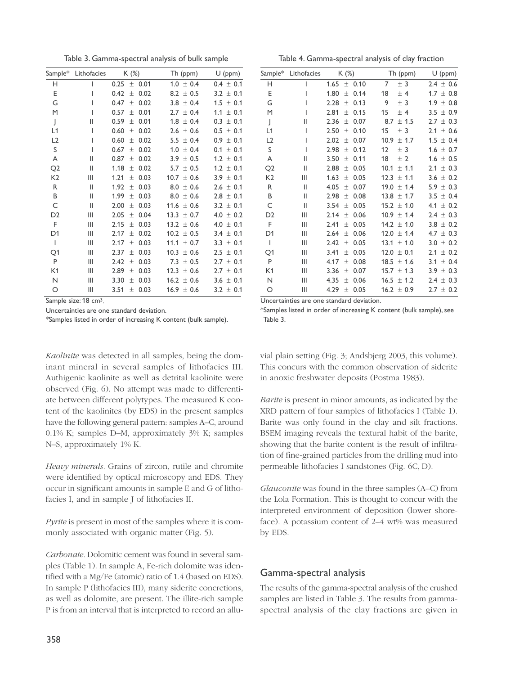Table 3. Gamma-spectral analysis of bulk sample

| Sample*        | Lithofacies | $K$ (%)               | Th (ppm)          | $U$ (ppm)     |
|----------------|-------------|-----------------------|-------------------|---------------|
| н              | I           | 0.25<br>0.01<br>$\pm$ | $1.0 \pm 0.4$     | $0.4 \pm 0.1$ |
| Ε              | I           | 0.42<br>0.02<br>土     | 8.2 $\pm$ 0.5     | $3.2 \pm 0.1$ |
| G              | I           | 0.47<br>0.02<br>$\pm$ | 3.8<br>± 0.4      | $1.5 \pm 0.1$ |
| M              | I           | 0.01<br>0.57<br>土     | $2.7 \pm 0.4$     | $1.1 \pm 0.1$ |
| J              | Ш           | 0.59<br>0.01<br>土     | 1.8<br>± 0.4      | $0.3 \pm 0.1$ |
| L1             | I           | 0.60<br>0.02<br>土     | $2.6 \pm 0.6$     | $0.5 \pm 0.1$ |
| L2             | I           | 0.60<br>0.02<br>土     | $5.5 \pm 0.4$     | $0.9 \pm 0.1$ |
| S              | I           | 0.02<br>0.67<br>土     | 1.0<br>± 0.4      | $0.1 \pm 0.1$ |
| A              | Ш           | 0.87<br>0.02<br>$\pm$ | $3.9 \pm 0.5$     | $1.2 \pm 0.1$ |
| Q <sub>2</sub> | Ш           | 1.18<br>0.02<br>土     | $5.7 \pm 0.5$     | $1.2 \pm 0.1$ |
| K <sub>2</sub> | Ш           | 1.21<br>0.03<br>土     | $10.7 \pm 0.6$    | $3.9 \pm 0.1$ |
| R              | Ш           | 1.92<br>0.03<br>土     | 8.0<br>± 0.6      | $2.6 \pm 0.1$ |
| B              | Ш           | 1.99<br>0.03<br>土     | 8.0<br>± 0.6      | $2.8 \pm 0.1$ |
| C              | Ш           | 0.03<br>2.00<br>$\pm$ | 11.6 $\pm$ 0.6    | $3.2 \pm 0.1$ |
| D <sub>2</sub> | Ш           | 2.05<br>0.04<br>土     | 13.3<br>$\pm$ 0.7 | $4.0 \pm 0.2$ |
| F              | Ш           | 2.15<br>0.03<br>土     | $13.2 \pm 0.6$    | $4.0 \pm 0.1$ |
| D <sub>1</sub> | Ш           | 0.02<br>2.17<br>土     | $10.2 \pm 0.5$    | $3.4 \pm 0.1$ |
| I              | Ш           | 0.03<br>2.17<br>土     | 11.1<br>± 0.7     | $3.3 \pm 0.1$ |
| Q1             | Ш           | 2.37<br>0.03<br>$\pm$ | 10.3<br>± 0.6     | $2.5 \pm 0.1$ |
| P              | Ш           | 0.03<br>2.42<br>$\pm$ | 7.3 $\pm$ 0.5     | $2.7 \pm 0.1$ |
| K1             | Ш           | 0.03<br>2.89<br>$\pm$ | $12.3 \pm 0.6$    | $2.7 \pm 0.1$ |
| N              | Ш           | 3.30<br>0.03<br>土     | $16.2 \pm 0.6$    | $3.6 \pm 0.1$ |
| O              | Ш           | 3.51<br>0.03<br>$\pm$ | $16.9 \pm 0.6$    | $3.2 \pm 0.1$ |
|                |             |                       |                   |               |

Sample size: 18 cm<sup>3</sup>.

Uncertainties are one standard deviation.

\*Samples listed in order of increasing K content (bulk sample).

*Kaolinite* was detected in all samples, being the dominant mineral in several samples of lithofacies III. Authigenic kaolinite as well as detrital kaolinite were observed (Fig. 6). No attempt was made to differentiate between different polytypes. The measured K content of the kaolinites (by EDS) in the present samples have the following general pattern: samples A–C, around 0.1% K; samples D–M, approximately 3% K; samples N–S, approximately 1% K.

*Heavy minerals.* Grains of zircon, rutile and chromite were identified by optical microscopy and EDS. They occur in significant amounts in sample E and G of lithofacies I, and in sample J of lithofacies II.

*Pyrite* is present in most of the samples where it is commonly associated with organic matter (Fig. 5).

*Carbonate.* Dolomitic cement was found in several samples (Table 1). In sample A, Fe-rich dolomite was identified with a Mg/Fe (atomic) ratio of 1.4 (based on EDS). In sample P (lithofacies III), many siderite concretions, as well as dolomite, are present. The illite-rich sample P is from an interval that is interpreted to record an allu-

Table 4. Gamma-spectral analysis of clay fraction

|                | Sample* Lithofacies | K (%)                 | Th (ppm)                   | $U$ (ppm)     |
|----------------|---------------------|-----------------------|----------------------------|---------------|
| н              | ı                   | 1.65<br>$±$ 0.10      | 7<br>± 3                   | $2.4 \pm 0.6$ |
| E              | ı                   | 1.80<br>0.14<br>$\pm$ | 18<br>$±$ 4                | $1.7 \pm 0.8$ |
| G              | ı                   | 2.28<br>0.13<br>土     | 9<br>± 3                   | $1.9 \pm 0.8$ |
| M              | I                   | 2.81<br>0.15<br>$\pm$ | 15<br>$±$ 4                | $3.5 \pm 0.9$ |
| J              | Ш                   | 2.36<br>0.07<br>土     | 8.7<br>$±$ 1.5             | $2.7 \pm 0.3$ |
| L1             | I                   | 2.50<br>0.10<br>$\pm$ | 15<br>± 3                  | $2.1 \pm 0.6$ |
| L2             | I                   | 2.02<br>0.07<br>$\pm$ | 10.9<br>± 1.7              | $1.5 \pm 0.4$ |
| S              | I                   | 2.98<br>0.12<br>$\pm$ | 12<br>± 3                  | $1.6 \pm 0.7$ |
| A              | Ш                   | 3.50<br>0.11<br>$\pm$ | 18<br>± 2                  | $1.6 \pm 0.5$ |
| Q <sub>2</sub> | Ш                   | 0.05<br>2.88<br>土     | 10.1<br>± 1.1              | $2.1 \pm 0.3$ |
| K <sub>2</sub> | Ш                   | 0.05<br>1.63<br>$\pm$ | 12.3<br>± 1.1              | $3.6 \pm 0.2$ |
| R              | Ш                   | 4.05<br>0.07<br>$\pm$ | 19.0<br>± 1.4              | $5.9 \pm 0.3$ |
| B              | Ш                   | 0.08<br>2.98<br>$\pm$ | 13.8<br>± 1.7              | $3.5 \pm 0.4$ |
| C              | Ш                   | 3.54<br>0.05<br>$\pm$ | $15.2 \pm 1.0$             | $4.1 \pm 0.2$ |
| D <sub>2</sub> | Ш                   | 0.06<br>2.14<br>$\pm$ | 10.9 <sub>1</sub><br>± 1.4 | $2.4 \pm 0.3$ |
| F              | Ш                   | 0.05<br>2.41<br>$\pm$ | $14.2 \pm 1.0$             | $3.8 \pm 0.2$ |
| D <sub>1</sub> | Ш                   | 0.06<br>2.64<br>$\pm$ | 12.0<br>± 1.4              | $4.7 \pm 0.3$ |
| $\overline{1}$ | Ш                   | 2.42<br>0.05<br>土     | 13.1<br>± 1.0              | $3.0 \pm 0.2$ |
| Q1             | Ш                   | 0.05<br>3.41<br>$\pm$ | ± 0.1<br>12.0              | 2.1<br>± 0.2  |
| $\mathsf{P}$   | Ш                   | 4.17<br>0.08<br>$\pm$ | 18.5<br>±1.6               | ± 0.4<br>3.1  |
| K1             | Ш                   | 0.07<br>3.36<br>土     | 15.7<br>± 1.3              | $3.9 \pm 0.3$ |
| N              | Ш                   | 4.35<br>0.06<br>土     | $16.5 \pm 1.2$             | $2.4 \pm 0.3$ |
| O              | Ш                   | 4.29<br>0.05<br>土     | $16.2 \pm 0.9$             | $2.7 \pm 0.2$ |
|                |                     |                       |                            |               |

Uncertainties are one standard deviation.

\*Samples listed in order of increasing K content (bulk sample), see Table 3.

vial plain setting (Fig. 3; Andsbjerg 2003, this volume). This concurs with the common observation of siderite in anoxic freshwater deposits (Postma 1983).

*Barite* is present in minor amounts, as indicated by the XRD pattern of four samples of lithofacies I (Table 1). Barite was only found in the clay and silt fractions. BSEM imaging reveals the textural habit of the barite, showing that the barite content is the result of infiltration of fine-grained particles from the drilling mud into permeable lithofacies I sandstones (Fig. 6C, D).

*Glauconite* was found in the three samples (A–C) from the Lola Formation. This is thought to concur with the interpreted environment of deposition (lower shoreface). A potassium content of 2–4 wt% was measured by EDS.

### Gamma-spectral analysis

The results of the gamma-spectral analysis of the crushed samples are listed in Table 3. The results from gammaspectral analysis of the clay fractions are given in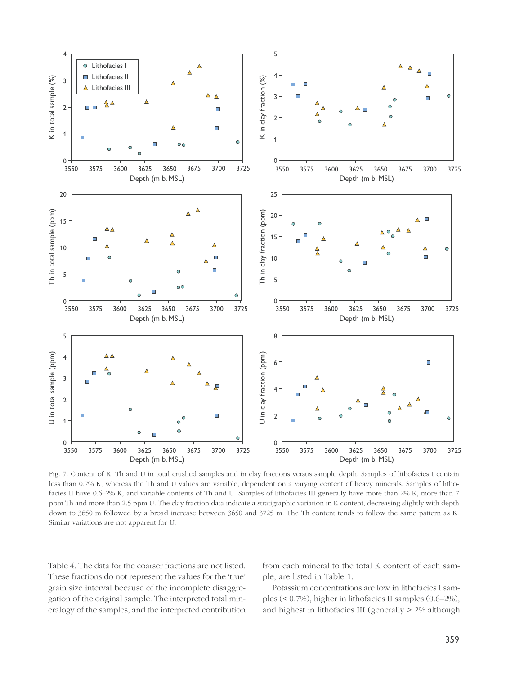

Fig. 7. Content of K, Th and U in total crushed samples and in clay fractions versus sample depth. Samples of lithofacies I contain less than 0.7% K, whereas the Th and U values are variable, dependent on a varying content of heavy minerals. Samples of lithofacies II have 0.6–2% K, and variable contents of Th and U. Samples of lithofacies III generally have more than 2% K, more than 7 ppm Th and more than 2.5 ppm U. The clay fraction data indicate a stratigraphic variation in K content, decreasing slightly with depth down to 3650 m followed by a broad increase between 3650 and 3725 m. The Th content tends to follow the same pattern as K. Similar variations are not apparent for U.

Table 4. The data for the coarser fractions are not listed. These fractions do not represent the values for the 'true' grain size interval because of the incomplete disaggregation of the original sample. The interpreted total mineralogy of the samples, and the interpreted contribution from each mineral to the total K content of each sample, are listed in Table 1.

Potassium concentrations are low in lithofacies I samples (< 0.7%), higher in lithofacies II samples (0.6–2%), and highest in lithofacies III (generally > 2% although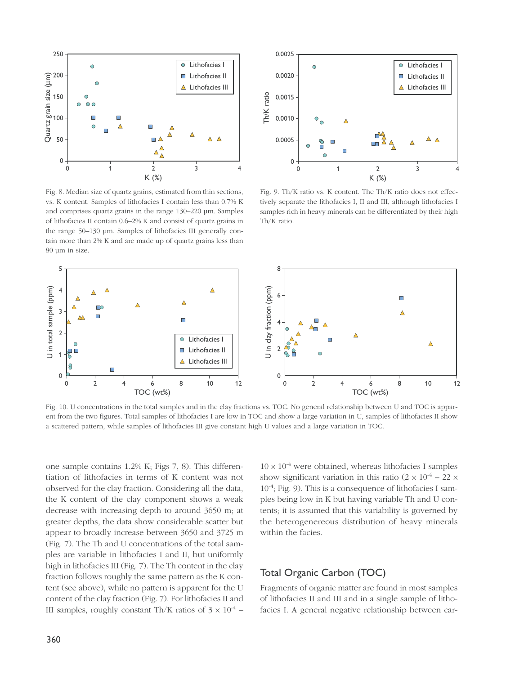



Fig. 8. Median size of quartz grains, estimated from thin sections, vs. K content. Samples of lithofacies I contain less than 0.7% K and comprises quartz grains in the range 130–220 µm. Samples of lithofacies II contain 0.6–2% K and consist of quartz grains in the range 50–130 µm. Samples of lithofacies III generally contain more than 2% K and are made up of quartz grains less than 80 µm in size.

Fig. 9. Th/K ratio vs. K content. The Th/K ratio does not effectively separate the lithofacies I, II and III, although lithofacies I samples rich in heavy minerals can be differentiated by their high Th/K ratio.



Fig. 10. U concentrations in the total samples and in the clay fractions vs. TOC. No general relationship between U and TOC is apparent from the two figures. Total samples of lithofacies I are low in TOC and show a large variation in U, samples of lithofacies II show a scattered pattern, while samples of lithofacies III give constant high U values and a large variation in TOC.

one sample contains 1.2% K; Figs 7, 8). This differentiation of lithofacies in terms of K content was not observed for the clay fraction. Considering all the data, the K content of the clay component shows a weak decrease with increasing depth to around 3650 m; at greater depths, the data show considerable scatter but appear to broadly increase between 3650 and 3725 m (Fig. 7). The Th and U concentrations of the total samples are variable in lithofacies I and II, but uniformly high in lithofacies III (Fig. 7). The Th content in the clay fraction follows roughly the same pattern as the K content (see above), while no pattern is apparent for the U content of the clay fraction (Fig. 7). For lithofacies II and III samples, roughly constant Th/K ratios of  $3 \times 10^{-4}$  –  $10 \times 10^{-4}$  were obtained, whereas lithofacies I samples show significant variation in this ratio  $(2 \times 10^{-4} - 22 \times$  $10^{-4}$ ; Fig. 9). This is a consequence of lithofacies I samples being low in K but having variable Th and U contents; it is assumed that this variability is governed by the heterogenereous distribution of heavy minerals within the facies.

#### Total Organic Carbon (TOC)

Fragments of organic matter are found in most samples of lithofacies II and III and in a single sample of lithofacies I. A general negative relationship between car-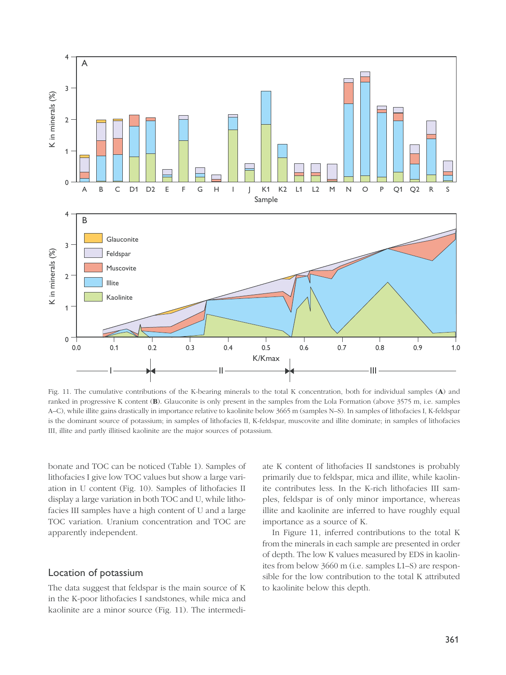

Fig. 11. The cumulative contributions of the K-bearing minerals to the total K concentration, both for individual samples (**A**) and ranked in progressive K content (**B**). Glauconite is only present in the samples from the Lola Formation (above 3575 m, i.e. samples A–C), while illite gains drastically in importance relative to kaolinite below 3665 m (samples N–S). In samples of lithofacies I, K-feldspar is the dominant source of potassium; in samples of lithofacies II, K-feldspar, muscovite and illite dominate; in samples of lithofacies III, illite and partly illitised kaolinite are the major sources of potassium.

bonate and TOC can be noticed (Table 1). Samples of lithofacies I give low TOC values but show a large variation in U content (Fig. 10). Samples of lithofacies II display a large variation in both TOC and U, while lithofacies III samples have a high content of U and a large TOC variation. Uranium concentration and TOC are apparently independent.

#### Location of potassium

The data suggest that feldspar is the main source of K in the K-poor lithofacies I sandstones, while mica and kaolinite are a minor source (Fig. 11). The intermediate K content of lithofacies II sandstones is probably primarily due to feldspar, mica and illite, while kaolinite contributes less. In the K-rich lithofacies III samples, feldspar is of only minor importance, whereas illite and kaolinite are inferred to have roughly equal importance as a source of K.

In Figure 11, inferred contributions to the total K from the minerals in each sample are presented in order of depth. The low K values measured by EDS in kaolinites from below 3660 m (i.e. samples L1–S) are responsible for the low contribution to the total K attributed to kaolinite below this depth.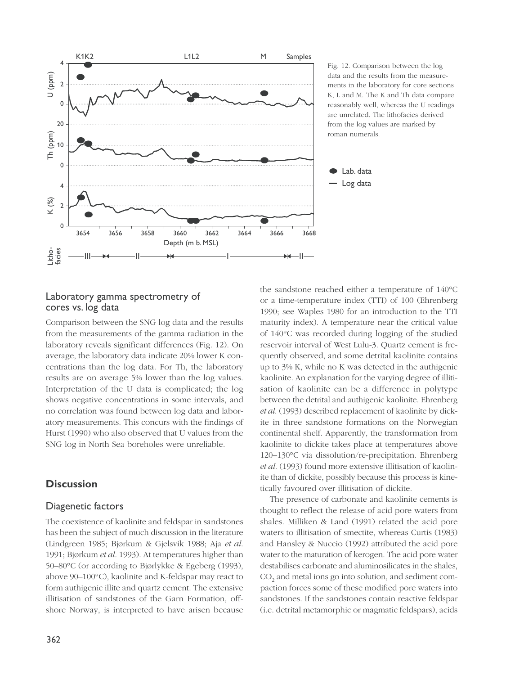

Fig. 12. Comparison between the log data and the results from the measurements in the laboratory for core sections K, L and M. The K and Th data compare reasonably well, whereas the U readings are unrelated. The lithofacies derived from the log values are marked by roman numerals.

### Laboratory gamma spectrometry of cores vs. log data

Comparison between the SNG log data and the results from the measurements of the gamma radiation in the laboratory reveals significant differences (Fig. 12). On average, the laboratory data indicate 20% lower K concentrations than the log data. For Th, the laboratory results are on average 5% lower than the log values. Interpretation of the U data is complicated; the log shows negative concentrations in some intervals, and no correlation was found between log data and laboratory measurements. This concurs with the findings of Hurst (1990) who also observed that U values from the SNG log in North Sea boreholes were unreliable.

### **Discussion**

#### Diagenetic factors

The coexistence of kaolinite and feldspar in sandstones has been the subject of much discussion in the literature (Lindgreen 1985; Bjørkum & Gjelsvik 1988; Aja *et al*. 1991; Bjørkum *et al*. 1993). At temperatures higher than 50–80°C (or according to Bjørlykke & Egeberg (1993), above 90–100°C), kaolinite and K-feldspar may react to form authigenic illite and quartz cement. The extensive illitisation of sandstones of the Garn Formation, offshore Norway, is interpreted to have arisen because the sandstone reached either a temperature of 140°C or a time-temperature index (TTI) of 100 (Ehrenberg 1990; see Waples 1980 for an introduction to the TTI maturity index). A temperature near the critical value of 140°C was recorded during logging of the studied reservoir interval of West Lulu-3. Quartz cement is frequently observed, and some detrital kaolinite contains up to 3% K, while no K was detected in the authigenic kaolinite. An explanation for the varying degree of illitisation of kaolinite can be a difference in polytype between the detrital and authigenic kaolinite. Ehrenberg *et al*. (1993) described replacement of kaolinite by dickite in three sandstone formations on the Norwegian continental shelf. Apparently, the transformation from kaolinite to dickite takes place at temperatures above 120–130°C via dissolution/re-precipitation. Ehrenberg *et al*. (1993) found more extensive illitisation of kaolinite than of dickite, possibly because this process is kinetically favoured over illitisation of dickite.

Lab. data Log data

The presence of carbonate and kaolinite cements is thought to reflect the release of acid pore waters from shales. Milliken & Land (1991) related the acid pore waters to illitisation of smectite, whereas Curtis (1983) and Hansley & Nuccio (1992) attributed the acid pore water to the maturation of kerogen. The acid pore water destabilises carbonate and aluminosilicates in the shales, CO<sub>2</sub> and metal ions go into solution, and sediment compaction forces some of these modified pore waters into sandstones. If the sandstones contain reactive feldspar (i.e. detrital metamorphic or magmatic feldspars), acids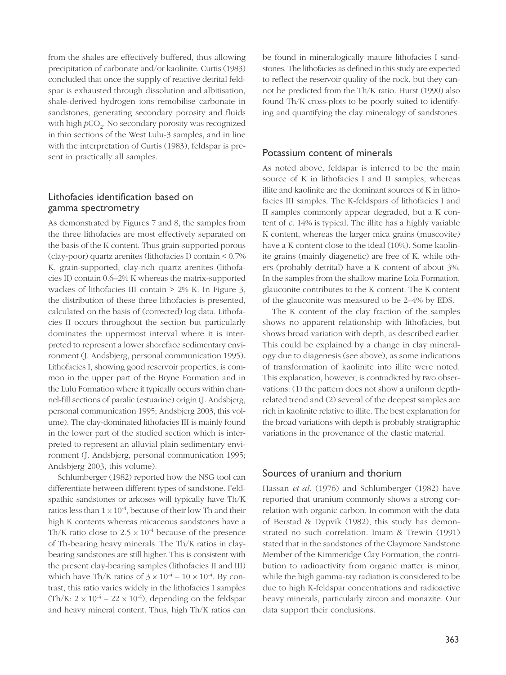from the shales are effectively buffered, thus allowing precipitation of carbonate and/or kaolinite. Curtis (1983) concluded that once the supply of reactive detrital feldspar is exhausted through dissolution and albitisation, shale-derived hydrogen ions remobilise carbonate in sandstones, generating secondary porosity and fluids with high  $pCO<sub>2</sub>$ . No secondary porosity was recognized in thin sections of the West Lulu-3 samples, and in line with the interpretation of Curtis (1983), feldspar is present in practically all samples.

### Lithofacies identification based on gamma spectrometry

As demonstrated by Figures 7 and 8, the samples from the three lithofacies are most effectively separated on the basis of the K content. Thus grain-supported porous (clay-poor) quartz arenites (lithofacies I) contain < 0.7% K, grain-supported, clay-rich quartz arenites (lithofacies II) contain 0.6–2% K whereas the matrix-supported wackes of lithofacies III contain  $> 2\%$  K. In Figure 3, the distribution of these three lithofacies is presented, calculated on the basis of (corrected) log data. Lithofacies II occurs throughout the section but particularly dominates the uppermost interval where it is interpreted to represent a lower shoreface sedimentary environment (J. Andsbjerg, personal communication 1995). Lithofacies I, showing good reservoir properties, is common in the upper part of the Bryne Formation and in the Lulu Formation where it typically occurs within channel-fill sections of paralic (estuarine) origin (J. Andsbjerg, personal communication 1995; Andsbjerg 2003, this volume). The clay-dominated lithofacies III is mainly found in the lower part of the studied section which is interpreted to represent an alluvial plain sedimentary environment (J. Andsbjerg, personal communication 1995; Andsbjerg 2003, this volume).

Schlumberger (1982) reported how the NSG tool can differentiate between different types of sandstone. Feldspathic sandstones or arkoses will typically have Th/K ratios less than  $1 \times 10^{-4}$ , because of their low Th and their high K contents whereas micaceous sandstones have a Th/K ratio close to  $2.5 \times 10^{-4}$  because of the presence of Th-bearing heavy minerals. The Th/K ratios in claybearing sandstones are still higher. This is consistent with the present clay-bearing samples (lithofacies II and III) which have Th/K ratios of  $3 \times 10^{-4} - 10 \times 10^{-4}$ . By contrast, this ratio varies widely in the lithofacies I samples (Th/K:  $2 \times 10^{-4} - 22 \times 10^{-4}$ ), depending on the feldspar and heavy mineral content. Thus, high Th/K ratios can

be found in mineralogically mature lithofacies I sandstones. The lithofacies as defined in this study are expected to reflect the reservoir quality of the rock, but they cannot be predicted from the Th/K ratio. Hurst (1990) also found Th/K cross-plots to be poorly suited to identifying and quantifying the clay mineralogy of sandstones.

#### Potassium content of minerals

As noted above, feldspar is inferred to be the main source of K in lithofacies I and II samples, whereas illite and kaolinite are the dominant sources of K in lithofacies III samples. The K-feldspars of lithofacies I and II samples commonly appear degraded, but a K content of *c*. 14% is typical. The illite has a highly variable K content, whereas the larger mica grains (muscovite) have a K content close to the ideal (10%). Some kaolinite grains (mainly diagenetic) are free of K, while others (probably detrital) have a K content of about 3%. In the samples from the shallow marine Lola Formation, glauconite contributes to the K content. The K content of the glauconite was measured to be 2–4% by EDS.

The K content of the clay fraction of the samples shows no apparent relationship with lithofacies, but shows broad variation with depth, as described earlier. This could be explained by a change in clay mineralogy due to diagenesis (see above), as some indications of transformation of kaolinite into illite were noted. This explanation, however, is contradicted by two observations: (1) the pattern does not show a uniform depthrelated trend and (2) several of the deepest samples are rich in kaolinite relative to illite. The best explanation for the broad variations with depth is probably stratigraphic variations in the provenance of the clastic material.

#### Sources of uranium and thorium

Hassan *et al*. (1976) and Schlumberger (1982) have reported that uranium commonly shows a strong correlation with organic carbon. In common with the data of Berstad & Dypvik (1982), this study has demonstrated no such correlation. Imam & Trewin (1991) stated that in the sandstones of the Claymore Sandstone Member of the Kimmeridge Clay Formation, the contribution to radioactivity from organic matter is minor, while the high gamma-ray radiation is considered to be due to high K-feldspar concentrations and radioactive heavy minerals, particularly zircon and monazite. Our data support their conclusions.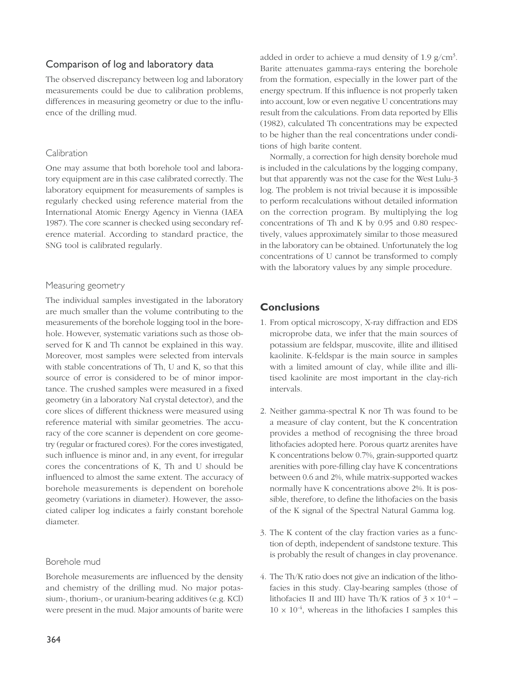### Comparison of log and laboratory data

The observed discrepancy between log and laboratory measurements could be due to calibration problems, differences in measuring geometry or due to the influence of the drilling mud.

#### Calibration

One may assume that both borehole tool and laboratory equipment are in this case calibrated correctly. The laboratory equipment for measurements of samples is regularly checked using reference material from the International Atomic Energy Agency in Vienna (IAEA 1987). The core scanner is checked using secondary reference material. According to standard practice, the SNG tool is calibrated regularly.

#### Measuring geometry

The individual samples investigated in the laboratory are much smaller than the volume contributing to the measurements of the borehole logging tool in the borehole. However, systematic variations such as those observed for K and Th cannot be explained in this way. Moreover, most samples were selected from intervals with stable concentrations of Th, U and K, so that this source of error is considered to be of minor importance. The crushed samples were measured in a fixed geometry (in a laboratory NaI crystal detector), and the core slices of different thickness were measured using reference material with similar geometries. The accuracy of the core scanner is dependent on core geometry (regular or fractured cores). For the cores investigated, such influence is minor and, in any event, for irregular cores the concentrations of K, Th and U should be influenced to almost the same extent. The accuracy of borehole measurements is dependent on borehole geometry (variations in diameter). However, the associated caliper log indicates a fairly constant borehole diameter.

#### Borehole mud

Borehole measurements are influenced by the density and chemistry of the drilling mud. No major potassium-, thorium-, or uranium-bearing additives (e.g. KCl) were present in the mud. Major amounts of barite were

added in order to achieve a mud density of 1.9  $g/cm^3$ . Barite attenuates gamma-rays entering the borehole from the formation, especially in the lower part of the energy spectrum. If this influence is not properly taken into account, low or even negative U concentrations may result from the calculations. From data reported by Ellis (1982), calculated Th concentrations may be expected to be higher than the real concentrations under conditions of high barite content.

Normally, a correction for high density borehole mud is included in the calculations by the logging company, but that apparently was not the case for the West Lulu-3 log. The problem is not trivial because it is impossible to perform recalculations without detailed information on the correction program. By multiplying the log concentrations of Th and K by 0.95 and 0.80 respectively, values approximately similar to those measured in the laboratory can be obtained. Unfortunately the log concentrations of U cannot be transformed to comply with the laboratory values by any simple procedure.

## **Conclusions**

- 1. From optical microscopy, X-ray diffraction and EDS microprobe data, we infer that the main sources of potassium are feldspar, muscovite, illite and illitised kaolinite. K-feldspar is the main source in samples with a limited amount of clay, while illite and illitised kaolinite are most important in the clay-rich intervals.
- 2. Neither gamma-spectral K nor Th was found to be a measure of clay content, but the K concentration provides a method of recognising the three broad lithofacies adopted here. Porous quartz arenites have K concentrations below 0.7%, grain-supported quartz arenities with pore-filling clay have K concentrations between 0.6 and 2%, while matrix-supported wackes normally have K concentrations above 2%. It is possible, therefore, to define the lithofacies on the basis of the K signal of the Spectral Natural Gamma log.
- 3. The K content of the clay fraction varies as a function of depth, independent of sandstone texture. This is probably the result of changes in clay provenance.
- 4. The Th/K ratio does not give an indication of the lithofacies in this study. Clay-bearing samples (those of lithofacies II and III) have Th/K ratios of  $3 \times 10^{-4}$  –  $10 \times 10^{-4}$ , whereas in the lithofacies I samples this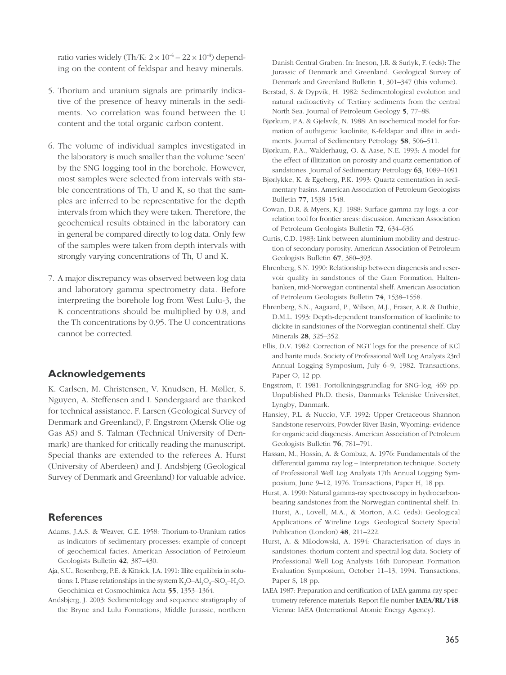ratio varies widely (Th/K:  $2 \times 10^{-4}$  –  $22 \times 10^{-4}$ ) depending on the content of feldspar and heavy minerals.

- 5. Thorium and uranium signals are primarily indicative of the presence of heavy minerals in the sediments. No correlation was found between the U content and the total organic carbon content.
- 6. The volume of individual samples investigated in the laboratory is much smaller than the volume 'seen' by the SNG logging tool in the borehole. However, most samples were selected from intervals with stable concentrations of Th, U and K, so that the samples are inferred to be representative for the depth intervals from which they were taken. Therefore, the geochemical results obtained in the laboratory can in general be compared directly to log data. Only few of the samples were taken from depth intervals with strongly varying concentrations of Th, U and K.
- 7. A major discrepancy was observed between log data and laboratory gamma spectrometry data. Before interpreting the borehole log from West Lulu-3, the K concentrations should be multiplied by 0.8, and the Th concentrations by 0.95. The U concentrations cannot be corrected.

#### **Acknowledgements**

K. Carlsen, M. Christensen, V. Knudsen, H. Møller, S. Nguyen, A. Steffensen and I. Søndergaard are thanked for technical assistance. F. Larsen (Geological Survey of Denmark and Greenland), F. Engstrøm (Mærsk Olie og Gas AS) and S. Talman (Technical University of Denmark) are thanked for critically reading the manuscript. Special thanks are extended to the referees A. Hurst (University of Aberdeen) and J. Andsbjerg (Geological Survey of Denmark and Greenland) for valuable advice.

#### **References**

- Adams, J.A.S. & Weaver, C.E. 1958: Thorium-to-Uranium ratios as indicators of sedimentary processes: example of concept of geochemical facies. American Association of Petroleum Geologists Bulletin **42**, 387–430.
- Aja, S.U., Rosenberg, P.E. & Kittrick, J.A. 1991: Illite equilibria in solutions: I. Phase relationships in the system  $K_2O-Al_2O_2-SiO_2-H_2O$ . Geochimica et Cosmochimica Acta **55**, 1353–1364.
- Andsbjerg, J. 2003: Sedimentology and sequence stratigraphy of the Bryne and Lulu Formations, Middle Jurassic, northern

Danish Central Graben. In: Ineson, J.R. & Surlyk, F. (eds): The Jurassic of Denmark and Greenland. Geological Survey of Denmark and Greenland Bulletin **1**, 301–347 (this volume).

- Berstad, S. & Dypvik, H. 1982: Sedimentological evolution and natural radioactivity of Tertiary sediments from the central North Sea. Journal of Petroleum Geology **5**, 77–88.
- Bjørkum, P.A. & Gjelsvik, N. 1988: An isochemical model for formation of authigenic kaolinite, K-feldspar and illite in sediments. Journal of Sedimentary Petrology **58**, 506–511.
- Bjørkum, P.A., Walderhaug, O. & Aase, N.E. 1993: A model for the effect of illitization on porosity and quartz cementation of sandstones. Journal of Sedimentary Petrology **63**, 1089–1091.
- Bjørlykke, K. & Egeberg, P.K. 1993: Quartz cementation in sedimentary basins. American Association of Petroleum Geologists Bulletin **77**, 1538–1548.
- Cowan, D.R. & Myers, K.J. 1988: Surface gamma ray logs: a correlation tool for frontier areas: discussion. American Association of Petroleum Geologists Bulletin **72**, 634–636.
- Curtis, C.D. 1983: Link between aluminium mobility and destruction of secondary porosity. American Association of Petroleum Geologists Bulletin **67**, 380–393.
- Ehrenberg, S.N. 1990: Relationship between diagenesis and reservoir quality in sandstones of the Garn Formation, Haltenbanken, mid-Norwegian continental shelf. American Association of Petroleum Geologists Bulletin **74**, 1538–1558.
- Ehrenberg, S.N., Aagaard, P., Wilson, M.J., Fraser, A.R. & Duthie, D.M.L. 1993: Depth-dependent transformation of kaolinite to dickite in sandstones of the Norwegian continental shelf. Clay Minerals **28**, 325–352.
- Ellis, D.V. 1982: Correction of NGT logs for the presence of KCl and barite muds. Society of Professional Well Log Analysts 23rd Annual Logging Symposium, July 6–9, 1982. Transactions, Paper O, 12 pp.
- Engstrøm, F. 1981: Fortolkningsgrundlag for SNG-log, 469 pp. Unpublished Ph.D. thesis, Danmarks Tekniske Universitet, Lyngby, Danmark.
- Hansley, P.L. & Nuccio, V.F. 1992: Upper Cretaceous Shannon Sandstone reservoirs, Powder River Basin, Wyoming: evidence for organic acid diagenesis. American Association of Petroleum Geologists Bulletin **76**, 781–791.
- Hassan, M., Hossin, A. & Combaz, A. 1976: Fundamentals of the differential gamma ray log – Interpretation technique. Society of Professional Well Log Analysts 17th Annual Logging Symposium, June 9–12, 1976. Transactions, Paper H, 18 pp.
- Hurst, A. 1990: Natural gamma-ray spectroscopy in hydrocarbonbearing sandstones from the Norwegian continental shelf. In: Hurst, A., Lovell, M.A., & Morton, A.C. (eds): Geological Applications of Wireline Logs. Geological Society Special Publication (London) **48**, 211–222.
- Hurst, A. & Milodowski, A. 1994: Characterisation of clays in sandstones: thorium content and spectral log data. Society of Professional Well Log Analysts 16th European Formation Evaluation Symposium, October 11–13, 1994. Transactions, Paper S, 18 pp.
- IAEA 1987: Preparation and certification of IAEA gamma-ray spectrometry reference materials. Report file number **IAEA/RL/148**. Vienna: IAEA (International Atomic Energy Agency).